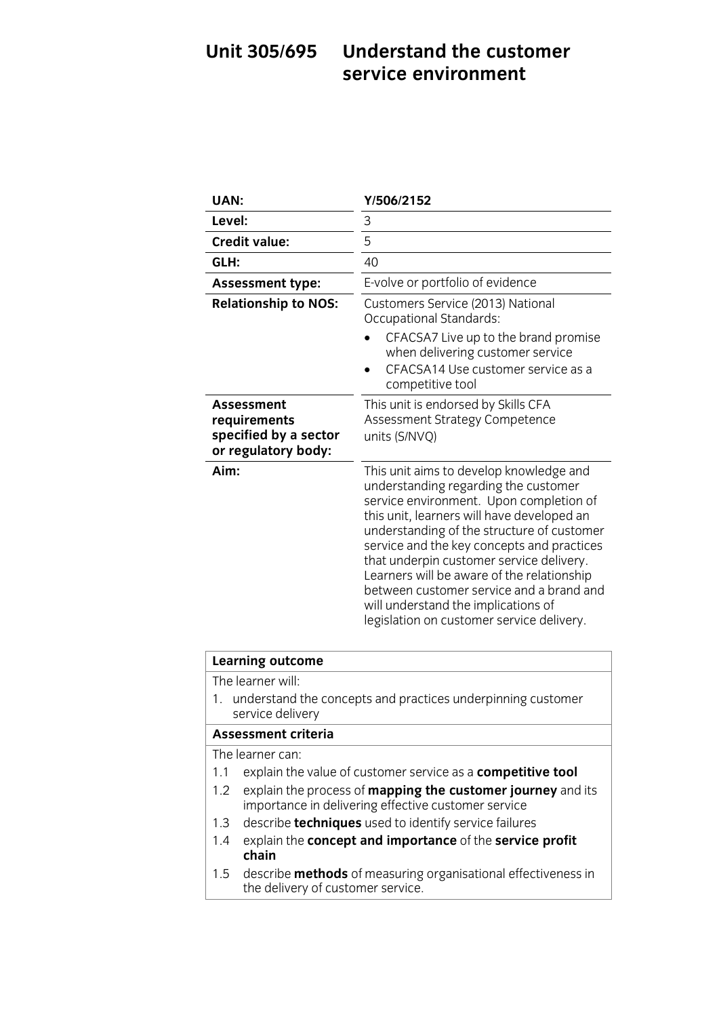### **Understand the customer** Unit 305/695 **Service environment service environment**

| UAN:                                                                       | Y/506/2152                                                                                                                                                                                                                                                                                                                                                                                                                                                                                     |
|----------------------------------------------------------------------------|------------------------------------------------------------------------------------------------------------------------------------------------------------------------------------------------------------------------------------------------------------------------------------------------------------------------------------------------------------------------------------------------------------------------------------------------------------------------------------------------|
| Level:                                                                     | 3                                                                                                                                                                                                                                                                                                                                                                                                                                                                                              |
| <b>Credit value:</b>                                                       | 5                                                                                                                                                                                                                                                                                                                                                                                                                                                                                              |
| GLH:                                                                       | 40                                                                                                                                                                                                                                                                                                                                                                                                                                                                                             |
| <b>Assessment type:</b>                                                    | E-volve or portfolio of evidence                                                                                                                                                                                                                                                                                                                                                                                                                                                               |
| <b>Relationship to NOS:</b>                                                | Customers Service (2013) National<br><b>Occupational Standards:</b>                                                                                                                                                                                                                                                                                                                                                                                                                            |
|                                                                            | CFACSA7 Live up to the brand promise<br>when delivering customer service<br>CFACSA14 Use customer service as a<br>competitive tool                                                                                                                                                                                                                                                                                                                                                             |
| Assessment<br>requirements<br>specified by a sector<br>or regulatory body: | This unit is endorsed by Skills CFA<br>Assessment Strategy Competence<br>units (S/NVQ)                                                                                                                                                                                                                                                                                                                                                                                                         |
| Aim:                                                                       | This unit aims to develop knowledge and<br>understanding regarding the customer<br>service environment. Upon completion of<br>this unit, learners will have developed an<br>understanding of the structure of customer<br>service and the key concepts and practices<br>that underpin customer service delivery.<br>Learners will be aware of the relationship<br>between customer service and a brand and<br>will understand the implications of<br>legislation on customer service delivery. |

# **Learning outcome**<br>The learner will:

1. understand the concepts and practices underpinning customer service delivery

### Assessment criteria

The learner can:

- 1.1 explain the value of customer service as a competitive tool
- 1.2 explain the process of **mapping the customer journey** and its importance in delivering effective customer service
- 1.3 describe **techniques** used to identify service failures
- 1.4 overlaps the **concent and importance** of the **convice** 1.4 explain the **concept and importance** of the **service profit chain**<br>1.5 describe **methods** of measuring organisational effectiveness in
- the delivery of customer service the delivery of customer service.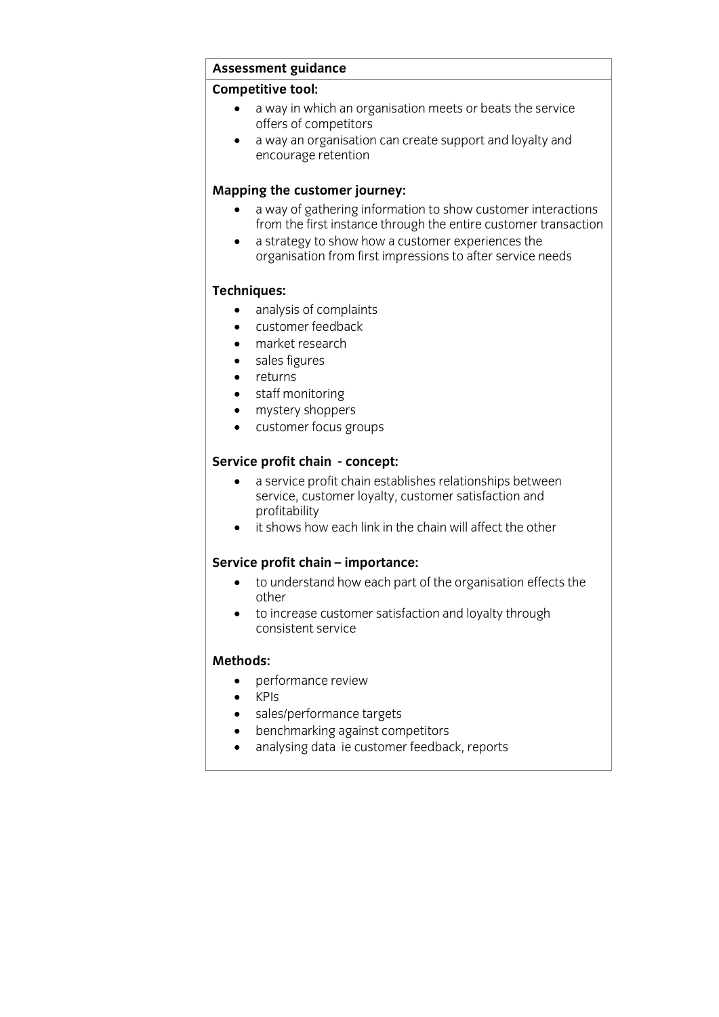# **Assessment guidance**

- **Competitive to a way in which an organisation meets or beats the service**<br>
offers of competitors
	- a way an organisation can create support and loyalty and<br>encourage retention encourage retention

- **Mapping the customer interactions**<br> **Mapping information to show customer interactions**<br> **A** way of gathering information to show customer transactions<br> **A** customer transaction
	- a strategy to show how a customer experiences the<br>organisation from first impressions to after service needs organisation from first impressions to after service needs

- **TECHNICIA**<br> **a** customer feedback
	- customer feedback
	- market research
	- sales figures
	- returns
	- staff monitoring
	- mystery shoppers
	- customer focus groups

- **SERVICE PROFITS -**<br> **Service profit chain establishes relationships between**<br> **Service customer lovalty customer satisfaction and** service, customer loyalty, customer satisfaction and profitability
	- $\bullet$  it shows how each link in the chain will affect the other

- **SERVICE:**<br> **•** to understand how each part of the organisation effects the other
	- to increase customer satisfaction and loyalty through<br>consistent service consistent service

### Methods:

- **Methods:**<br> **METHODS:**<br> **METHODS:** 
	- KPIs<br>• sale
	- sales/performance targets<br>• henchmarking against com
	- benchmarking against competitors<br>• analysing data ie customer feedbac
	- analysing data ie customer feedback, reports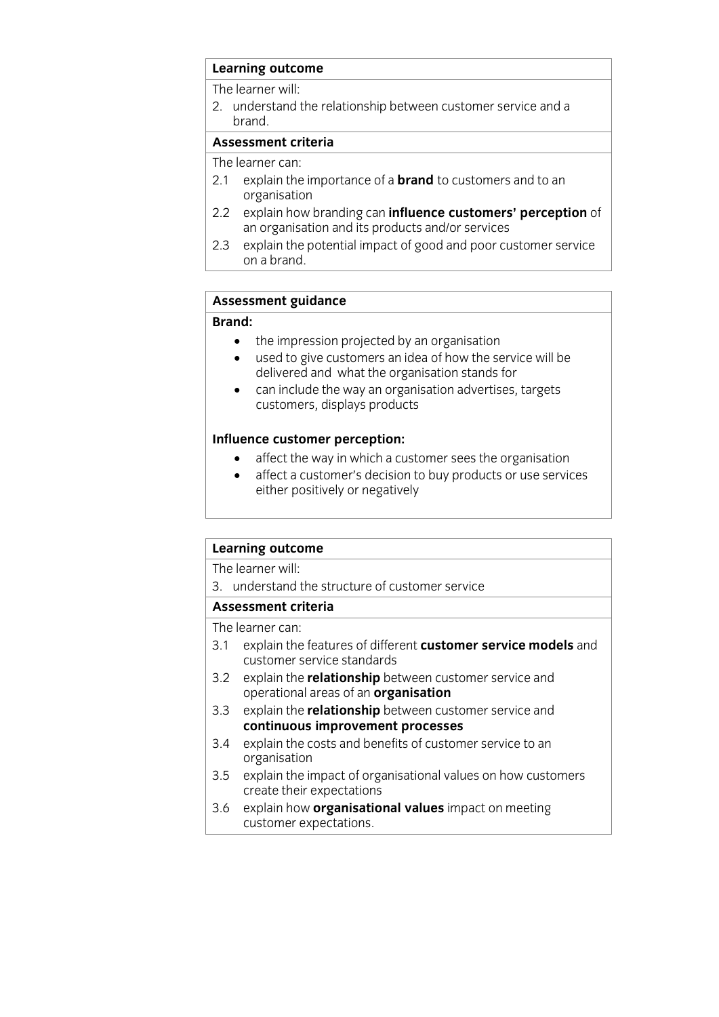## **Learning outcome**<br>The learner will:

The results: will 2. understand the relationship between customer service and a

### Assessment criteria

The learner can:

- 2.1 explain the importance of a **brand** to customers and to an organisation
- $2.2$ explain how branding can influence customers' perception of an organisation and its products and/or services
- explain the potential impact of good and poor customer service 2.3 explain the potential impact  $\frac{p}{q}$  on a brand <u>on a brand.</u><br>Taxonomia

# **Assessment guidance**

- **Brand:** the impression projected by an organisation
- used to give customers an idea of how the service will be delivered and what the organisation stands for
- $\bullet$  can include the way an organisation advertises, targets customers displays products customers, displays products

- **Influence complete**<br> **Influence customer's decision to buy products or use servi-**
	- affect a customer's decision to buy products or use services either positively or negatively

# **Learning outcome**<br>The learner will:

3. understand the structure of customer service

### Assessment criteria

The learner can:

- 3.1 explain the features of different **customer service models** and customer service standards
- $3.2$ explain the **relationship** between customer service and operational areas of an **organisation**
- explain the **relationship** between customer service and 3.3 explain the **relationship** between custo<br>**continuous improvement processes**
- 3.4 explain the costs and benefits of customer service to an organisation
- 3.5 explain the impact of organisational values on how customers create their expectations
- 3.6 explain how organisational values impact on meeting 3.6 explain how **organisational values** impact on meeting customer expectations.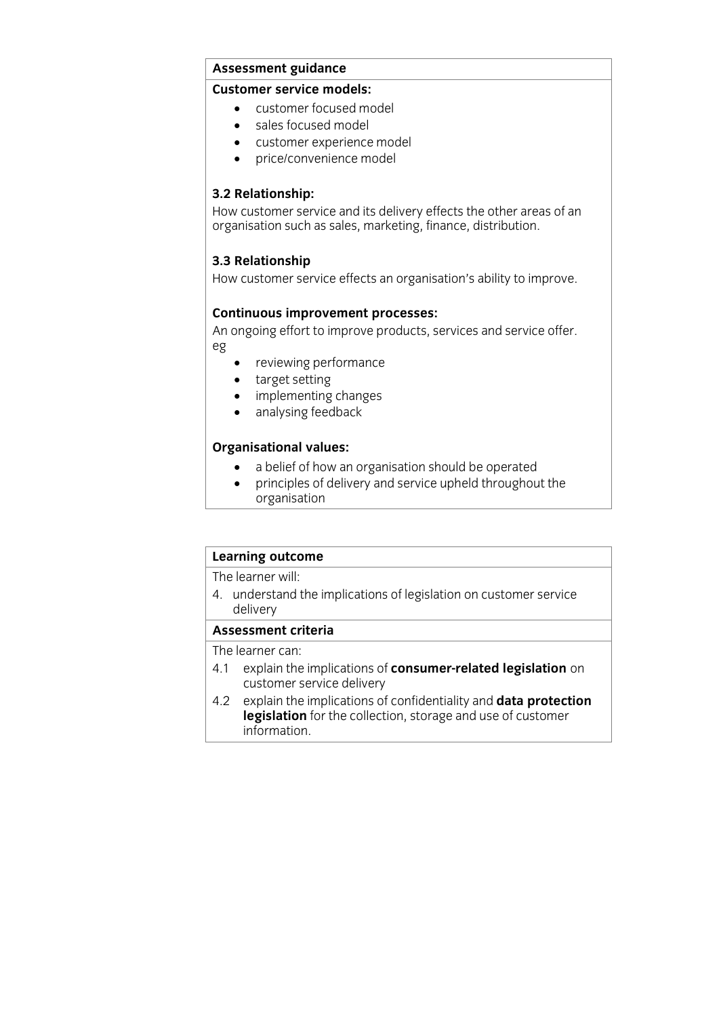## **Assessment guidance**

- customer focused model
	- sales focused model
	- customer experience model
	- price/convenience model

**3.2 Relationship:**<br>How customer service and its delivery effects the other areas of an  $\frac{1}{10}$  creanisation such as sales marketing finance distribution organisation such as sales, marketing, finance, distribution.

**3.3 Relationship**<br>How customer service effects an organisation's ability to improve. How customer service effects and organisation  $\frac{1}{2}$  ability to improve.

**Continuous improvement processes:** An ongoing effort to improve products, services and service offer. eg

- reviewing performance
- target setting
- implementing changes<br>• analysing feedback
- analysing feedback

- **CORGANISION**<br> **a** belief of how an organisation should be operated<br> **a** principles of delivery and service upheld throughous
	- principles of delivery and service upheld throughout the organisation

## **Learning outcome**<br>The learner will:

The results: This 4. understand the implications of legislation on customer service delivery<br>Assessment criteria

The learner can:

- 4.1 explain the implications of **consumer-related legislation** on  $c$ ustomer service delivery
- explain the implications of confidentiality and data protection 4.2 explain the implications of confidentiality and **data protection** information, <u>information</u>